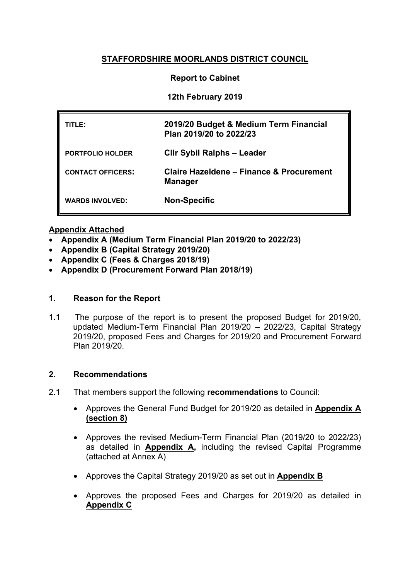# **STAFFORDSHIRE MOORLANDS DISTRICT COUNCIL**

### **Report to Cabinet**

### **12th February 2019**

| TITLE:                   | 2019/20 Budget & Medium Term Financial<br>Plan 2019/20 to 2022/23 |
|--------------------------|-------------------------------------------------------------------|
| <b>PORTFOLIO HOLDER</b>  | <b>CIIr Sybil Ralphs - Leader</b>                                 |
| <b>CONTACT OFFICERS:</b> | Claire Hazeldene - Finance & Procurement<br><b>Manager</b>        |
| <b>WARDS INVOLVED:</b>   | <b>Non-Specific</b>                                               |

#### **Appendix Attached**

- **Appendix A (Medium Term Financial Plan 2019/20 to 2022/23)**
- **Appendix B (Capital Strategy 2019/20)**
- **Appendix C (Fees & Charges 2018/19)**
- **Appendix D (Procurement Forward Plan 2018/19)**

## **1. Reason for the Report**

1.1 The purpose of the report is to present the proposed Budget for 2019/20, updated Medium-Term Financial Plan 2019/20 – 2022/23, Capital Strategy 2019/20, proposed Fees and Charges for 2019/20 and Procurement Forward Plan 2019/20.

#### **2. Recommendations**

- 2.1 That members support the following **recommendations** to Council:
	- Approves the General Fund Budget for 2019/20 as detailed in **[Appendix](file:///C:/Users/chazeldene/AppData/Local/Microsoft/Windows/Documents%20and%20Settings/cstone/Local%20Settings/astokes/AppData/Local/Microsoft/Windows/Temporary%20Internet%20Files/Content.Outlook/9RF23P99/SMDC%20-%20Budget%202012-13%20&%20MTFP%20App%20A%20(15-02-12).doc) A (section 8)**
	- Approves the revised Medium-Term Financial Plan (2019/20 to 2022/23) as detailed in **Appendix A,** including the revised Capital Programme (attached at Annex A)
	- Approves the Capital Strategy 2019/20 as set out in **Appendix B**
	- Approves the proposed Fees and Charges for 2019/20 as detailed in **Appendix C**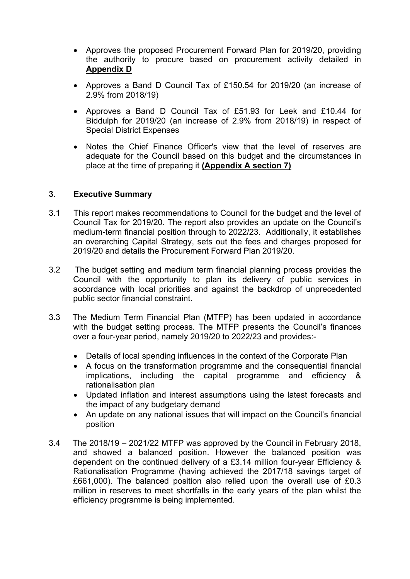- Approves the proposed Procurement Forward Plan for 2019/20, providing the authority to procure based on procurement activity detailed in **Appendix D**
- Approves a Band D Council Tax of £150.54 for 2019/20 (an increase of 2.9% from 2018/19)
- Approves a Band D Council Tax of £51.93 for Leek and £10.44 for Biddulph for 2019/20 (an increase of 2.9% from 2018/19) in respect of Special District Expenses
- Notes the Chief Finance Officer's view that the level of reserves are adequate for the Council based on this budget and the circumstances in place at the time of preparing it **(Appendix A section 7)**

#### **3. Executive Summary**

- 3.1 This report makes recommendations to Council for the budget and the level of Council Tax for 2019/20. The report also provides an update on the Council's medium-term financial position through to 2022/23. Additionally, it establishes an overarching Capital Strategy, sets out the fees and charges proposed for 2019/20 and details the Procurement Forward Plan 2019/20.
- 3.2 The budget setting and medium term financial planning process provides the Council with the opportunity to plan its delivery of public services in accordance with local priorities and against the backdrop of unprecedented public sector financial constraint.
- 3.3 The Medium Term Financial Plan (MTFP) has been updated in accordance with the budget setting process. The MTFP presents the Council's finances over a four-year period, namely 2019/20 to 2022/23 and provides:-
	- Details of local spending influences in the context of the Corporate Plan
	- A focus on the transformation programme and the consequential financial implications, including the capital programme and efficiency & rationalisation plan
	- Updated inflation and interest assumptions using the latest forecasts and the impact of any budgetary demand
	- An update on any national issues that will impact on the Council's financial position
- 3.4 The 2018/19 2021/22 MTFP was approved by the Council in February 2018, and showed a balanced position. However the balanced position was dependent on the continued delivery of a £3.14 million four-year Efficiency & Rationalisation Programme (having achieved the 2017/18 savings target of £661,000). The balanced position also relied upon the overall use of £0.3 million in reserves to meet shortfalls in the early years of the plan whilst the efficiency programme is being implemented.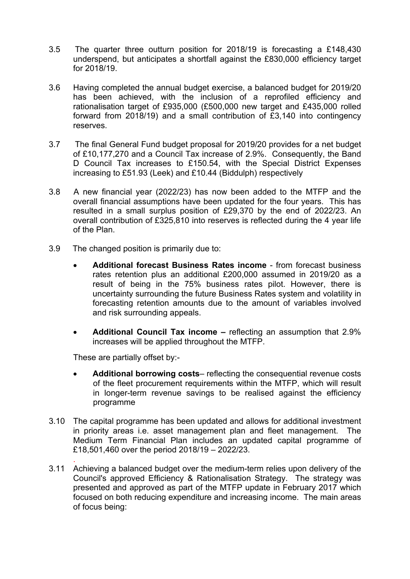- 3.5 The quarter three outturn position for 2018/19 is forecasting a £148,430 underspend, but anticipates a shortfall against the £830,000 efficiency target for 2018/19.
- 3.6 Having completed the annual budget exercise, a balanced budget for 2019/20 has been achieved, with the inclusion of a reprofiled efficiency and rationalisation target of £935,000 (£500,000 new target and £435,000 rolled forward from 2018/19) and a small contribution of £3,140 into contingency reserves.
- 3.7 The final General Fund budget proposal for 2019/20 provides for a net budget of £10,177,270 and a Council Tax increase of 2.9%. Consequently, the Band D Council Tax increases to £150.54, with the Special District Expenses increasing to £51.93 (Leek) and £10.44 (Biddulph) respectively
- 3.8 A new financial year (2022/23) has now been added to the MTFP and the overall financial assumptions have been updated for the four years. This has resulted in a small surplus position of £29,370 by the end of 2022/23. An overall contribution of £325,810 into reserves is reflected during the 4 year life of the Plan.
- 3.9 The changed position is primarily due to:
	- **Additional forecast Business Rates income** from forecast business rates retention plus an additional £200,000 assumed in 2019/20 as a result of being in the 75% business rates pilot. However, there is uncertainty surrounding the future Business Rates system and volatility in forecasting retention amounts due to the amount of variables involved and risk surrounding appeals.
	- **Additional Council Tax income –** reflecting an assumption that 2.9% increases will be applied throughout the MTFP.

These are partially offset by:-

.

- **Additional borrowing costs** reflecting the consequential revenue costs of the fleet procurement requirements within the MTFP, which will result in longer-term revenue savings to be realised against the efficiency programme
- 3.10 The capital programme has been updated and allows for additional investment in priority areas i.e. asset management plan and fleet management. The Medium Term Financial Plan includes an updated capital programme of £18,501,460 over the period 2018/19 – 2022/23.
- 3.11 Achieving a balanced budget over the medium-term relies upon delivery of the Council's approved Efficiency & Rationalisation Strategy. The strategy was presented and approved as part of the MTFP update in February 2017 which focused on both reducing expenditure and increasing income. The main areas of focus being: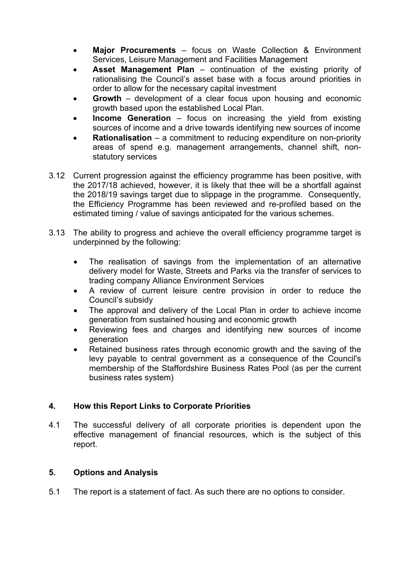- **Major Procurements** focus on Waste Collection & Environment Services, Leisure Management and Facilities Management
- **Asset Management Plan** continuation of the existing priority of rationalising the Council's asset base with a focus around priorities in order to allow for the necessary capital investment
- **Growth** development of a clear focus upon housing and economic growth based upon the established Local Plan.
- **Income Generation** focus on increasing the yield from existing sources of income and a drive towards identifying new sources of income
- **Rationalisation** a commitment to reducing expenditure on non-priority areas of spend e.g. management arrangements, channel shift, nonstatutory services
- 3.12 Current progression against the efficiency programme has been positive, with the 2017/18 achieved, however, it is likely that thee will be a shortfall against the 2018/19 savings target due to slippage in the programme. Consequently, the Efficiency Programme has been reviewed and re-profiled based on the estimated timing / value of savings anticipated for the various schemes.
- 3.13 The ability to progress and achieve the overall efficiency programme target is underpinned by the following:
	- The realisation of savings from the implementation of an alternative delivery model for Waste, Streets and Parks via the transfer of services to trading company Alliance Environment Services
	- A review of current leisure centre provision in order to reduce the Council's subsidy
	- The approval and delivery of the Local Plan in order to achieve income generation from sustained housing and economic growth
	- Reviewing fees and charges and identifying new sources of income generation
	- Retained business rates through economic growth and the saving of the levy payable to central government as a consequence of the Council's membership of the Staffordshire Business Rates Pool (as per the current business rates system)

## **4. How this Report Links to Corporate Priorities**

4.1 The successful delivery of all corporate priorities is dependent upon the effective management of financial resources, which is the subject of this report.

## **5. Options and Analysis**

5.1 The report is a statement of fact. As such there are no options to consider.